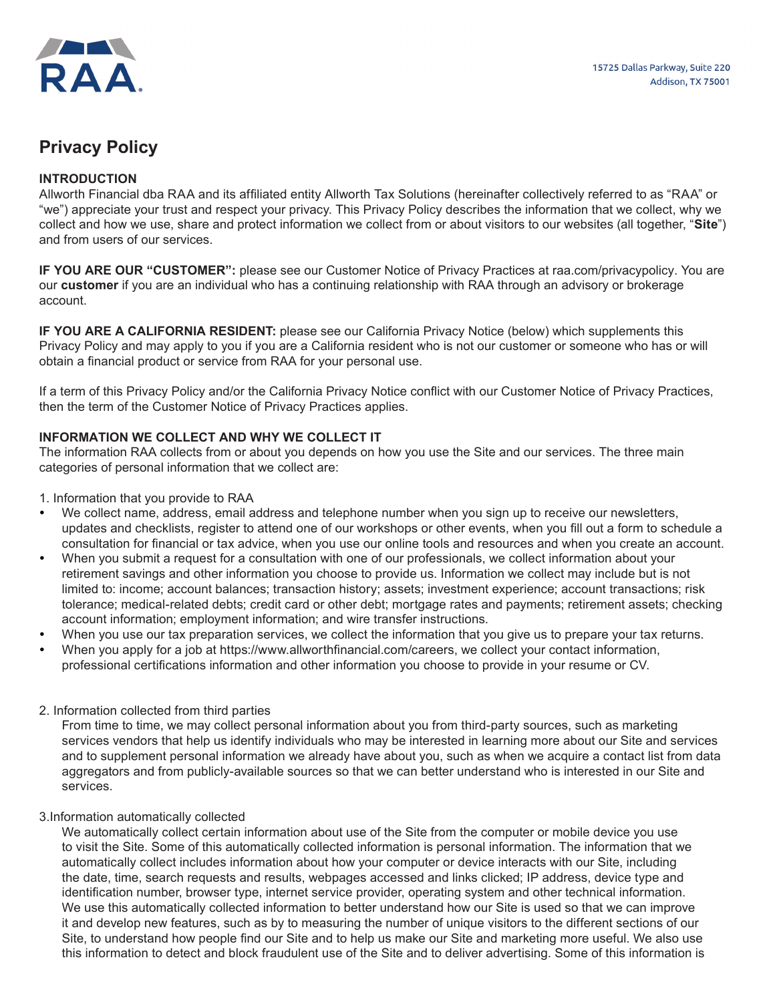

# **Privacy Policy**

# **INTRODUCTION**

Allworth Financial dba RAA and its affiliated entity Allworth Tax Solutions (hereinafter collectively referred to as "RAA" or "we") appreciate your trust and respect your privacy. This Privacy Policy describes the information that we collect, why we collect and how we use, share and protect information we collect from or about visitors to our websites (all together, "**Site**") and from users of our services.

**IF YOU ARE OUR "CUSTOMER":** please see our Customer Notice of Privacy Practices at raa.com/privacypolicy. You are our **customer** if you are an individual who has a continuing relationship with RAA through an advisory or brokerage account.

**IF YOU ARE A CALIFORNIA RESIDENT:** please see our California Privacy Notice (below) which supplements this Privacy Policy and may apply to you if you are a California resident who is not our customer or someone who has or will obtain a financial product or service from RAA for your personal use.

If a term of this Privacy Policy and/or the California Privacy Notice conflict with our Customer Notice of Privacy Practices, then the term of the Customer Notice of Privacy Practices applies.

## **INFORMATION WE COLLECT AND WHY WE COLLECT IT**

The information RAA collects from or about you depends on how you use the Site and our services. The three main categories of personal information that we collect are:

- 1. Information that you provide to RAA
- We collect name, address, email address and telephone number when you sign up to receive our newsletters, updates and checklists, register to attend one of our workshops or other events, when you fill out a form to schedule a consultation for financial or tax advice, when you use our online tools and resources and when you create an account.
- y When you submit a request for a consultation with one of our professionals, we collect information about your retirement savings and other information you choose to provide us. Information we collect may include but is not limited to: income; account balances; transaction history; assets; investment experience; account transactions; risk tolerance; medical-related debts; credit card or other debt; mortgage rates and payments; retirement assets; checking account information; employment information; and wire transfer instructions.
- When you use our tax preparation services, we collect the information that you give us to prepare your tax returns.
- When you apply for a job at https://www.allworthfinancial.com/careers, we collect your contact information, professional certifications information and other information you choose to provide in your resume or CV.

## 2. Information collected from third parties

From time to time, we may collect personal information about you from third-party sources, such as marketing services vendors that help us identify individuals who may be interested in learning more about our Site and services and to supplement personal information we already have about you, such as when we acquire a contact list from data aggregators and from publicly-available sources so that we can better understand who is interested in our Site and services.

### 3.Information automatically collected

We automatically collect certain information about use of the Site from the computer or mobile device you use to visit the Site. Some of this automatically collected information is personal information. The information that we automatically collect includes information about how your computer or device interacts with our Site, including the date, time, search requests and results, webpages accessed and links clicked; IP address, device type and identification number, browser type, internet service provider, operating system and other technical information. We use this automatically collected information to better understand how our Site is used so that we can improve it and develop new features, such as by to measuring the number of unique visitors to the different sections of our Site, to understand how people find our Site and to help us make our Site and marketing more useful. We also use this information to detect and block fraudulent use of the Site and to deliver advertising. Some of this information is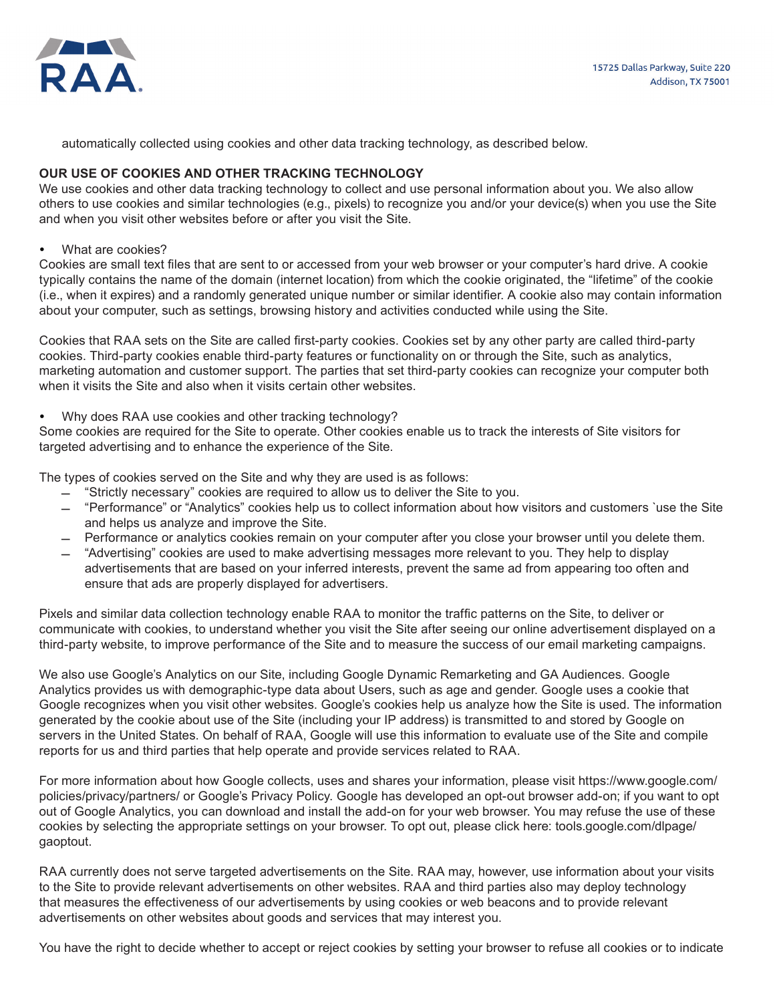

automatically collected using cookies and other data tracking technology, as described below.

# **OUR USE OF COOKIES AND OTHER TRACKING TECHNOLOGY**

We use cookies and other data tracking technology to collect and use personal information about you. We also allow others to use cookies and similar technologies (e.g., pixels) to recognize you and/or your device(s) when you use the Site and when you visit other websites before or after you visit the Site.

• What are cookies?

Cookies are small text files that are sent to or accessed from your web browser or your computer's hard drive. A cookie typically contains the name of the domain (internet location) from which the cookie originated, the "lifetime" of the cookie (i.e., when it expires) and a randomly generated unique number or similar identifier. A cookie also may contain information about your computer, such as settings, browsing history and activities conducted while using the Site.

Cookies that RAA sets on the Site are called first-party cookies. Cookies set by any other party are called third-party cookies. Third-party cookies enable third-party features or functionality on or through the Site, such as analytics, marketing automation and customer support. The parties that set third-party cookies can recognize your computer both when it visits the Site and also when it visits certain other websites.

• Why does RAA use cookies and other tracking technology?

Some cookies are required for the Site to operate. Other cookies enable us to track the interests of Site visitors for targeted advertising and to enhance the experience of the Site.

The types of cookies served on the Site and why they are used is as follows:

- ̛ "Strictly necessary" cookies are required to allow us to deliver the Site to you.
- ̛ "Performance" or "Analytics" cookies help us to collect information about how visitors and customers `use the Site and helps us analyze and improve the Site.
- $-$  Performance or analytics cookies remain on your computer after you close your browser until you delete them.
- ̛ "Advertising" cookies are used to make advertising messages more relevant to you. They help to display advertisements that are based on your inferred interests, prevent the same ad from appearing too often and ensure that ads are properly displayed for advertisers.

Pixels and similar data collection technology enable RAA to monitor the traffic patterns on the Site, to deliver or communicate with cookies, to understand whether you visit the Site after seeing our online advertisement displayed on a third-party website, to improve performance of the Site and to measure the success of our email marketing campaigns.

We also use Google's Analytics on our Site, including Google Dynamic Remarketing and GA Audiences. Google Analytics provides us with demographic-type data about Users, such as age and gender. Google uses a cookie that Google recognizes when you visit other websites. Google's cookies help us analyze how the Site is used. The information generated by the cookie about use of the Site (including your IP address) is transmitted to and stored by Google on servers in the United States. On behalf of RAA, Google will use this information to evaluate use of the Site and compile reports for us and third parties that help operate and provide services related to RAA.

For more information about how Google collects, uses and shares your information, please visit https://www.google.com/ policies/privacy/partners/ or Google's Privacy Policy. Google has developed an opt-out browser add-on; if you want to opt out of Google Analytics, you can download and install the add-on for your web browser. You may refuse the use of these cookies by selecting the appropriate settings on your browser. To opt out, please click here: tools.google.com/dlpage/ gaoptout.

RAA currently does not serve targeted advertisements on the Site. RAA may, however, use information about your visits to the Site to provide relevant advertisements on other websites. RAA and third parties also may deploy technology that measures the effectiveness of our advertisements by using cookies or web beacons and to provide relevant advertisements on other websites about goods and services that may interest you.

You have the right to decide whether to accept or reject cookies by setting your browser to refuse all cookies or to indicate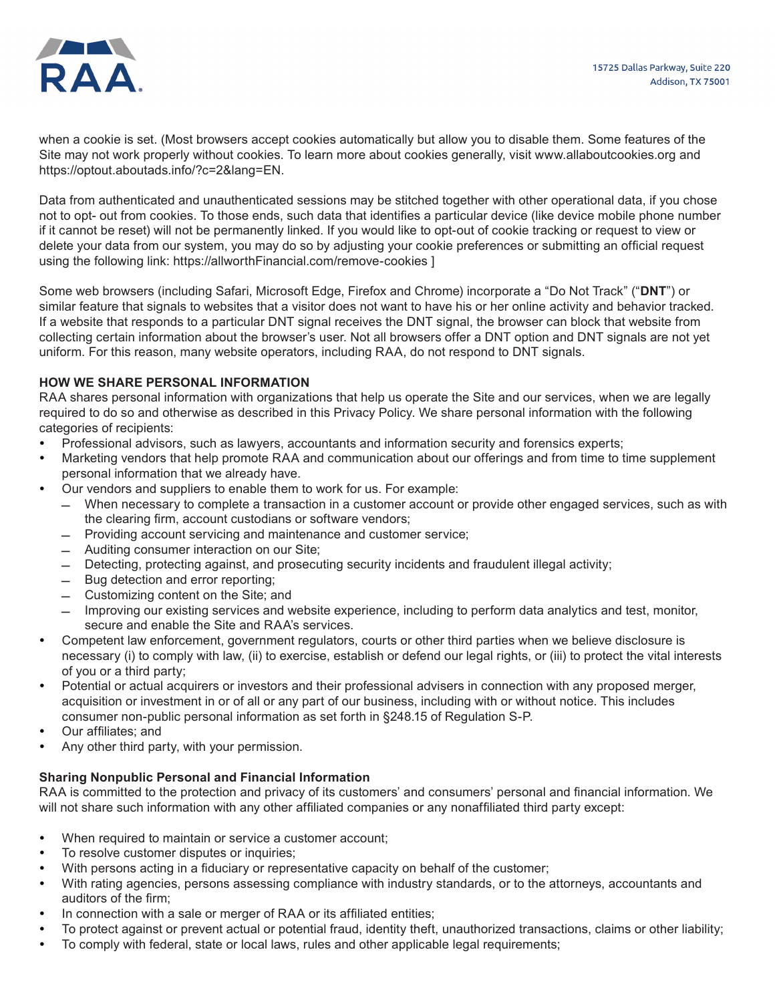

when a cookie is set. (Most browsers accept cookies automatically but allow you to disable them. Some features of the Site may not work properly without cookies. To learn more about cookies generally, visit www.allaboutcookies.org and https://optout.aboutads.info/?c=2&lang=EN.

Data from authenticated and unauthenticated sessions may be stitched together with other operational data, if you chose not to opt- out from cookies. To those ends, such data that identifies a particular device (like device mobile phone number if it cannot be reset) will not be permanently linked. If you would like to opt-out of cookie tracking or request to view or delete your data from our system, you may do so by adjusting your cookie preferences or submitting an official request using the following link: https://allworthFinancial.com/remove-cookies ]

Some web browsers (including Safari, Microsoft Edge, Firefox and Chrome) incorporate a "Do Not Track" ("**DNT**") or similar feature that signals to websites that a visitor does not want to have his or her online activity and behavior tracked. If a website that responds to a particular DNT signal receives the DNT signal, the browser can block that website from collecting certain information about the browser's user. Not all browsers offer a DNT option and DNT signals are not yet uniform. For this reason, many website operators, including RAA, do not respond to DNT signals.

## **HOW WE SHARE PERSONAL INFORMATION**

RAA shares personal information with organizations that help us operate the Site and our services, when we are legally required to do so and otherwise as described in this Privacy Policy. We share personal information with the following categories of recipients:

- Professional advisors, such as lawyers, accountants and information security and forensics experts;
- Marketing vendors that help promote RAA and communication about our offerings and from time to time supplement personal information that we already have.
- Our vendors and suppliers to enable them to work for us. For example:
	- ̛ When necessary to complete a transaction in a customer account or provide other engaged services, such as with the clearing firm, account custodians or software vendors;
	- ̛ Providing account servicing and maintenance and customer service;
	- Auditing consumer interaction on our Site;
	- $-$  Detecting, protecting against, and prosecuting security incidents and fraudulent illegal activity;
	- Bug detection and error reporting;
	- Customizing content on the Site; and
	- $-$  Improving our existing services and website experience, including to perform data analytics and test, monitor, secure and enable the Site and RAA's services.
- Competent law enforcement, government regulators, courts or other third parties when we believe disclosure is necessary (i) to comply with law, (ii) to exercise, establish or defend our legal rights, or (iii) to protect the vital interests of you or a third party;
- Potential or actual acquirers or investors and their professional advisers in connection with any proposed merger, acquisition or investment in or of all or any part of our business, including with or without notice. This includes consumer non-public personal information as set forth in §248.15 of Regulation S-P.
- Our affiliates; and
- Any other third party, with your permission.

## **Sharing Nonpublic Personal and Financial Information**

RAA is committed to the protection and privacy of its customers' and consumers' personal and financial information. We will not share such information with any other affiliated companies or any nonaffiliated third party except:

- When required to maintain or service a customer account:
- To resolve customer disputes or inquiries;
- With persons acting in a fiduciary or representative capacity on behalf of the customer;
- With rating agencies, persons assessing compliance with industry standards, or to the attorneys, accountants and auditors of the firm;
- In connection with a sale or merger of RAA or its affiliated entities;
- To protect against or prevent actual or potential fraud, identity theft, unauthorized transactions, claims or other liability;
- To comply with federal, state or local laws, rules and other applicable legal requirements;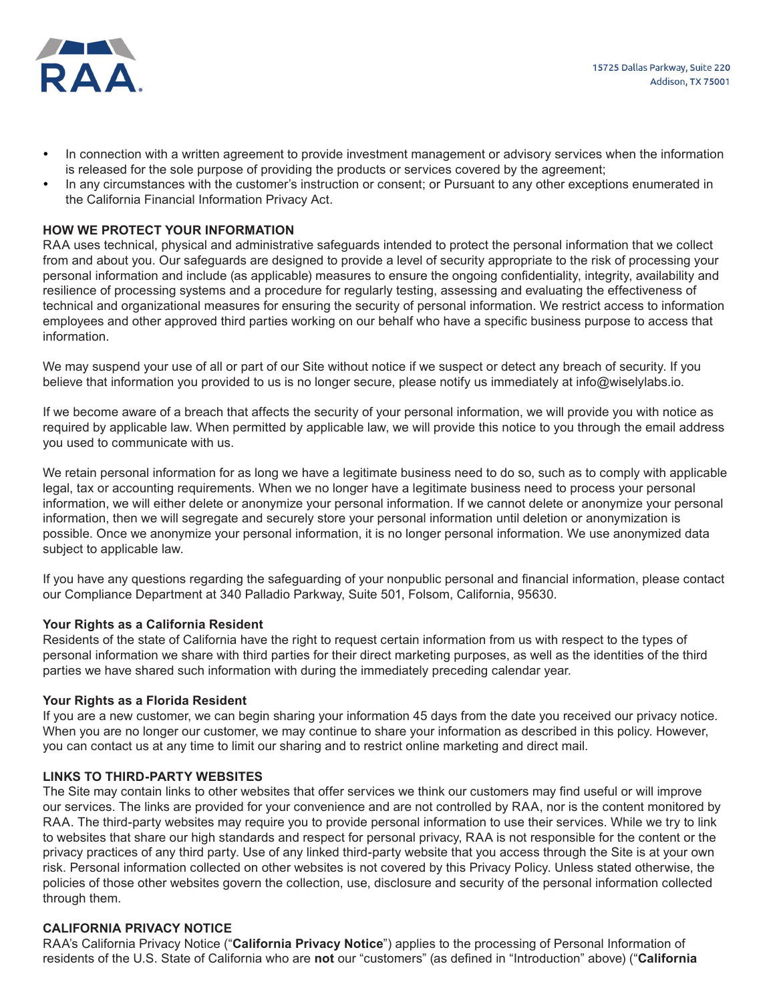

- In connection with a written agreement to provide investment management or advisory services when the information is released for the sole purpose of providing the products or services covered by the agreement;
- In any circumstances with the customer's instruction or consent; or Pursuant to any other exceptions enumerated in the California Financial Information Privacy Act.

## **HOW WE PROTECT YOUR INFORMATION**

RAA uses technical, physical and administrative safeguards intended to protect the personal information that we collect from and about you. Our safeguards are designed to provide a level of security appropriate to the risk of processing your personal information and include (as applicable) measures to ensure the ongoing confidentiality, integrity, availability and resilience of processing systems and a procedure for regularly testing, assessing and evaluating the effectiveness of technical and organizational measures for ensuring the security of personal information. We restrict access to information employees and other approved third parties working on our behalf who have a specific business purpose to access that information.

We may suspend your use of all or part of our Site without notice if we suspect or detect any breach of security. If you believe that information you provided to us is no longer secure, please notify us immediately at info@wiselylabs.io.

If we become aware of a breach that affects the security of your personal information, we will provide you with notice as required by applicable law. When permitted by applicable law, we will provide this notice to you through the email address you used to communicate with us.

We retain personal information for as long we have a legitimate business need to do so, such as to comply with applicable legal, tax or accounting requirements. When we no longer have a legitimate business need to process your personal information, we will either delete or anonymize your personal information. If we cannot delete or anonymize your personal information, then we will segregate and securely store your personal information until deletion or anonymization is possible. Once we anonymize your personal information, it is no longer personal information. We use anonymized data subject to applicable law.

If you have any questions regarding the safeguarding of your nonpublic personal and financial information, please contact our Compliance Department at 340 Palladio Parkway, Suite 501, Folsom, California, 95630.

### **Your Rights as a California Resident**

Residents of the state of California have the right to request certain information from us with respect to the types of personal information we share with third parties for their direct marketing purposes, as well as the identities of the third parties we have shared such information with during the immediately preceding calendar year.

### **Your Rights as a Florida Resident**

If you are a new customer, we can begin sharing your information 45 days from the date you received our privacy notice. When you are no longer our customer, we may continue to share your information as described in this policy. However, you can contact us at any time to limit our sharing and to restrict online marketing and direct mail.

### **LINKS TO THIRD-PARTY WEBSITES**

The Site may contain links to other websites that offer services we think our customers may find useful or will improve our services. The links are provided for your convenience and are not controlled by RAA, nor is the content monitored by RAA. The third-party websites may require you to provide personal information to use their services. While we try to link to websites that share our high standards and respect for personal privacy, RAA is not responsible for the content or the privacy practices of any third party. Use of any linked third-party website that you access through the Site is at your own risk. Personal information collected on other websites is not covered by this Privacy Policy. Unless stated otherwise, the policies of those other websites govern the collection, use, disclosure and security of the personal information collected through them.

### **CALIFORNIA PRIVACY NOTICE**

RAA's California Privacy Notice ("**California Privacy Notice**") applies to the processing of Personal Information of residents of the U.S. State of California who are **not** our "customers" (as defined in "Introduction" above) ("**California**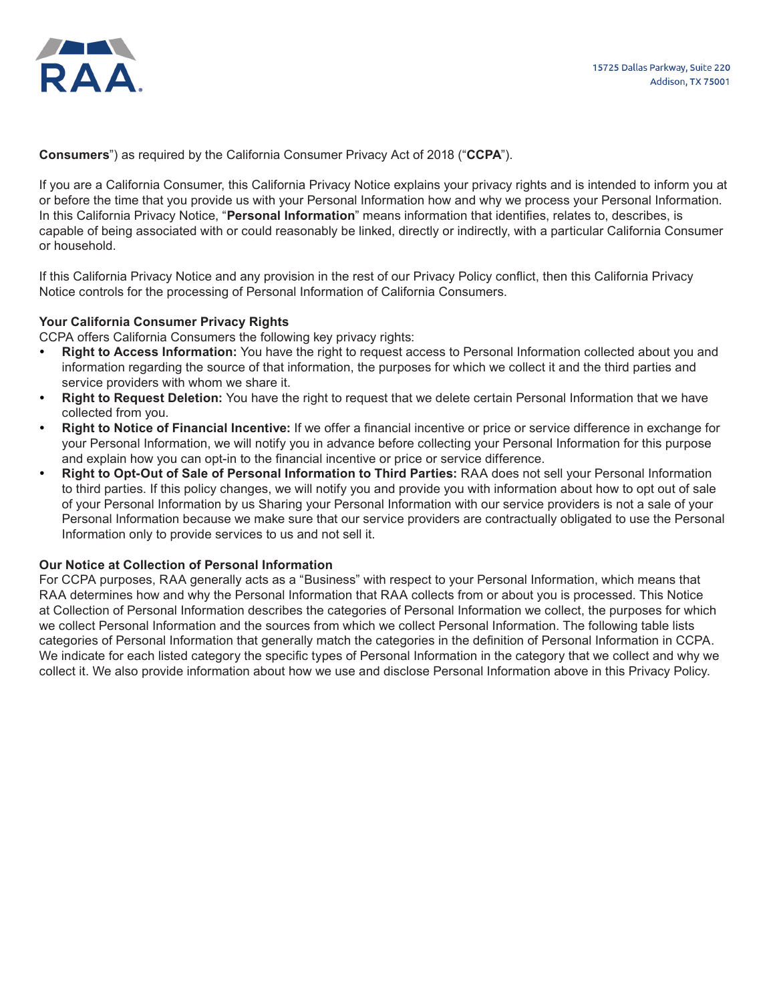

**Consumers**") as required by the California Consumer Privacy Act of 2018 ("**CCPA**").

If you are a California Consumer, this California Privacy Notice explains your privacy rights and is intended to inform you at or before the time that you provide us with your Personal Information how and why we process your Personal Information. In this California Privacy Notice, "**Personal Information**" means information that identifies, relates to, describes, is capable of being associated with or could reasonably be linked, directly or indirectly, with a particular California Consumer or household.

If this California Privacy Notice and any provision in the rest of our Privacy Policy conflict, then this California Privacy Notice controls for the processing of Personal Information of California Consumers.

## **Your California Consumer Privacy Rights**

CCPA offers California Consumers the following key privacy rights:

- **Right to Access Information:** You have the right to request access to Personal Information collected about you and information regarding the source of that information, the purposes for which we collect it and the third parties and service providers with whom we share it.
- **Right to Request Deletion:** You have the right to request that we delete certain Personal Information that we have collected from you.
- **Right to Notice of Financial Incentive:** If we offer a financial incentive or price or service difference in exchange for your Personal Information, we will notify you in advance before collecting your Personal Information for this purpose and explain how you can opt-in to the financial incentive or price or service difference.
- **Right to Opt-Out of Sale of Personal Information to Third Parties: RAA does not sell your Personal Information** to third parties. If this policy changes, we will notify you and provide you with information about how to opt out of sale of your Personal Information by us Sharing your Personal Information with our service providers is not a sale of your Personal Information because we make sure that our service providers are contractually obligated to use the Personal Information only to provide services to us and not sell it.

### **Our Notice at Collection of Personal Information**

For CCPA purposes, RAA generally acts as a "Business" with respect to your Personal Information, which means that RAA determines how and why the Personal Information that RAA collects from or about you is processed. This Notice at Collection of Personal Information describes the categories of Personal Information we collect, the purposes for which we collect Personal Information and the sources from which we collect Personal Information. The following table lists categories of Personal Information that generally match the categories in the definition of Personal Information in CCPA. We indicate for each listed category the specific types of Personal Information in the category that we collect and why we collect it. We also provide information about how we use and disclose Personal Information above in this Privacy Policy.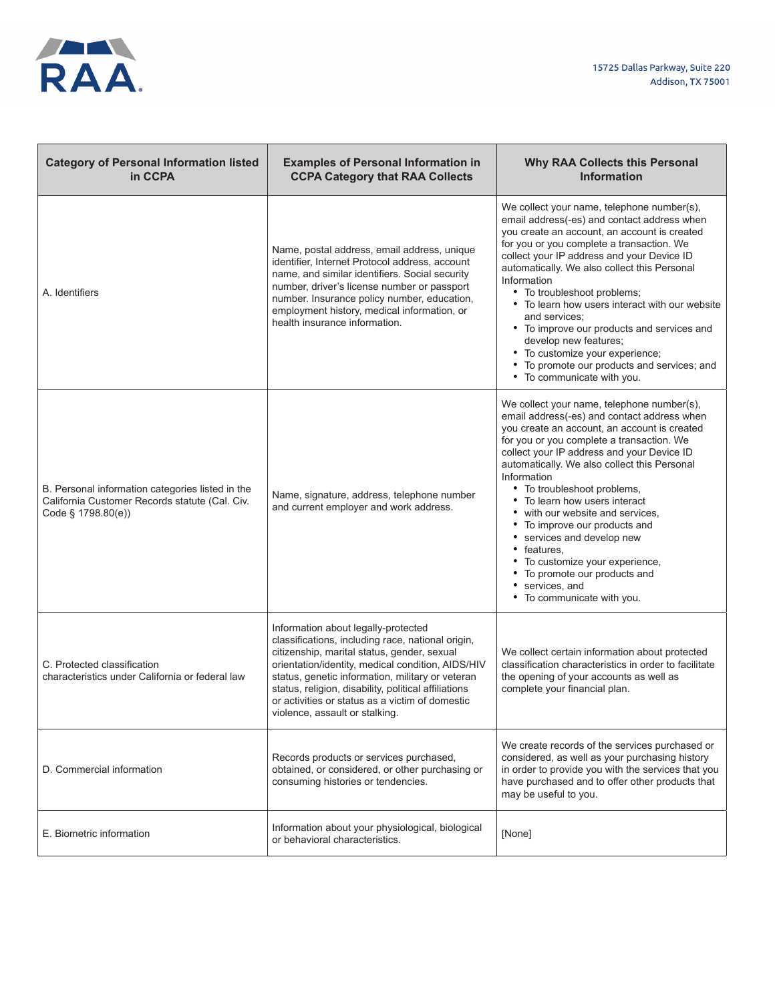

| <b>Category of Personal Information listed</b><br>in CCPA                                                                | <b>Examples of Personal Information in</b><br><b>CCPA Category that RAA Collects</b>                                                                                                                                                                                                                                                                                                          | <b>Why RAA Collects this Personal</b><br><b>Information</b>                                                                                                                                                                                                                                                                                                                                                                                                                                                                                                                                               |
|--------------------------------------------------------------------------------------------------------------------------|-----------------------------------------------------------------------------------------------------------------------------------------------------------------------------------------------------------------------------------------------------------------------------------------------------------------------------------------------------------------------------------------------|-----------------------------------------------------------------------------------------------------------------------------------------------------------------------------------------------------------------------------------------------------------------------------------------------------------------------------------------------------------------------------------------------------------------------------------------------------------------------------------------------------------------------------------------------------------------------------------------------------------|
| A. Identifiers                                                                                                           | Name, postal address, email address, unique<br>identifier, Internet Protocol address, account<br>name, and similar identifiers. Social security<br>number, driver's license number or passport<br>number. Insurance policy number, education,<br>employment history, medical information, or<br>health insurance information.                                                                 | We collect your name, telephone number(s),<br>email address(-es) and contact address when<br>you create an account, an account is created<br>for you or you complete a transaction. We<br>collect your IP address and your Device ID<br>automatically. We also collect this Personal<br>Information<br>• To troubleshoot problems;<br>• To learn how users interact with our website<br>and services;<br>• To improve our products and services and<br>develop new features;<br>• To customize your experience;<br>To promote our products and services; and<br>• To communicate with you.                |
| B. Personal information categories listed in the<br>California Customer Records statute (Cal. Civ.<br>Code § 1798.80(e)) | Name, signature, address, telephone number<br>and current employer and work address.                                                                                                                                                                                                                                                                                                          | We collect your name, telephone number(s),<br>email address(-es) and contact address when<br>you create an account, an account is created<br>for you or you complete a transaction. We<br>collect your IP address and your Device ID<br>automatically. We also collect this Personal<br>Information<br>• To troubleshoot problems,<br>To learn how users interact<br>٠<br>with our website and services,<br>To improve our products and<br>services and develop new<br>features,<br>٠<br>To customize your experience,<br>٠<br>To promote our products and<br>services, and<br>• To communicate with you. |
| C. Protected classification<br>characteristics under California or federal law                                           | Information about legally-protected<br>classifications, including race, national origin,<br>citizenship, marital status, gender, sexual<br>orientation/identity, medical condition, AIDS/HIV<br>status, genetic information, military or veteran<br>status, religion, disability, political affiliations<br>or activities or status as a victim of domestic<br>violence, assault or stalking. | We collect certain information about protected<br>classification characteristics in order to facilitate<br>the opening of your accounts as well as<br>complete your financial plan.                                                                                                                                                                                                                                                                                                                                                                                                                       |
| D. Commercial information                                                                                                | Records products or services purchased,<br>obtained, or considered, or other purchasing or<br>consuming histories or tendencies.                                                                                                                                                                                                                                                              | We create records of the services purchased or<br>considered, as well as your purchasing history<br>in order to provide you with the services that you<br>have purchased and to offer other products that<br>may be useful to you.                                                                                                                                                                                                                                                                                                                                                                        |
| E. Biometric information                                                                                                 | Information about your physiological, biological<br>or behavioral characteristics.                                                                                                                                                                                                                                                                                                            | [None]                                                                                                                                                                                                                                                                                                                                                                                                                                                                                                                                                                                                    |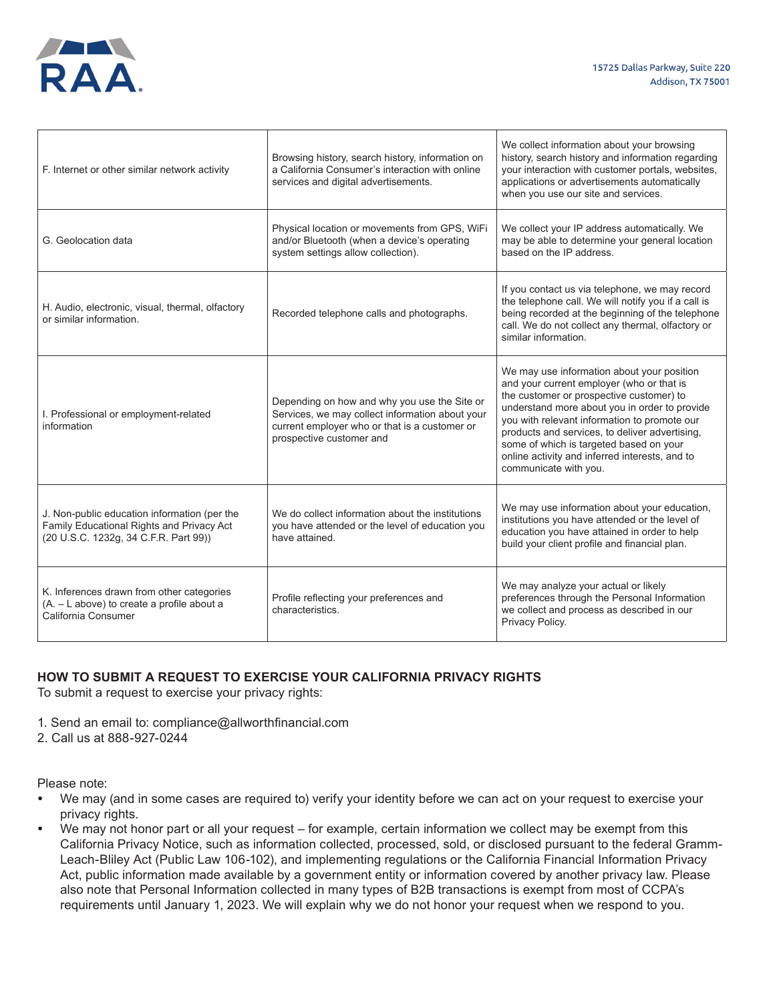

| F. Internet or other similar network activity                                                                                      | Browsing history, search history, information on<br>a California Consumer's interaction with online<br>services and digital advertisements.                                  | We collect information about your browsing<br>history, search history and information regarding<br>your interaction with customer portals, websites,<br>applications or advertisements automatically<br>when you use our site and services.                                                                                                                                                                  |
|------------------------------------------------------------------------------------------------------------------------------------|------------------------------------------------------------------------------------------------------------------------------------------------------------------------------|--------------------------------------------------------------------------------------------------------------------------------------------------------------------------------------------------------------------------------------------------------------------------------------------------------------------------------------------------------------------------------------------------------------|
| G. Geolocation data                                                                                                                | Physical location or movements from GPS, WiFi<br>and/or Bluetooth (when a device's operating<br>system settings allow collection).                                           | We collect your IP address automatically. We<br>may be able to determine your general location<br>based on the IP address.                                                                                                                                                                                                                                                                                   |
| H. Audio, electronic, visual, thermal, olfactory<br>or similar information.                                                        | Recorded telephone calls and photographs.                                                                                                                                    | If you contact us via telephone, we may record<br>the telephone call. We will notify you if a call is<br>being recorded at the beginning of the telephone<br>call. We do not collect any thermal, olfactory or<br>similar information.                                                                                                                                                                       |
| I. Professional or employment-related<br>information                                                                               | Depending on how and why you use the Site or<br>Services, we may collect information about your<br>current employer who or that is a customer or<br>prospective customer and | We may use information about your position<br>and your current employer (who or that is<br>the customer or prospective customer) to<br>understand more about you in order to provide<br>you with relevant information to promote our<br>products and services, to deliver advertising,<br>some of which is targeted based on your<br>online activity and inferred interests, and to<br>communicate with you. |
| J. Non-public education information (per the<br>Family Educational Rights and Privacy Act<br>(20 U.S.C. 1232g, 34 C.F.R. Part 99)) | We do collect information about the institutions<br>you have attended or the level of education you<br>have attained.                                                        | We may use information about your education,<br>institutions you have attended or the level of<br>education you have attained in order to help<br>build your client profile and financial plan.                                                                                                                                                                                                              |
| K. Inferences drawn from other categories<br>(A. - L above) to create a profile about a<br>California Consumer                     | Profile reflecting your preferences and<br>characteristics.                                                                                                                  | We may analyze your actual or likely<br>preferences through the Personal Information<br>we collect and process as described in our<br>Privacy Policy.                                                                                                                                                                                                                                                        |

## **HOW TO SUBMIT A REQUEST TO EXERCISE YOUR CALIFORNIA PRIVACY RIGHTS**

To submit a request to exercise your privacy rights:

- 1. Send an email to: compliance@allworthfinancial.com
- 2. Call us at 888-927-0244

Please note:

- We may (and in some cases are required to) verify your identity before we can act on your request to exercise your privacy rights.
- We may not honor part or all your request for example, certain information we collect may be exempt from this California Privacy Notice, such as information collected, processed, sold, or disclosed pursuant to the federal Gramm-Leach-Bliley Act (Public Law 106-102), and implementing regulations or the California Financial Information Privacy Act, public information made available by a government entity or information covered by another privacy law. Please also note that Personal Information collected in many types of B2B transactions is exempt from most of CCPA's requirements until January 1, 2023. We will explain why we do not honor your request when we respond to you.